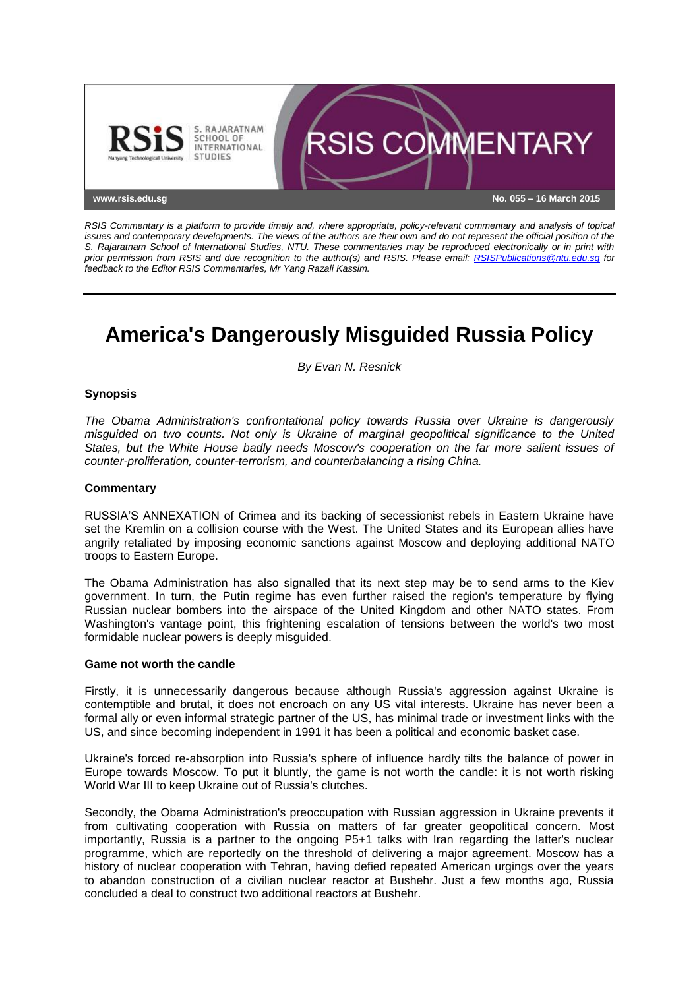

*RSIS Commentary is a platform to provide timely and, where appropriate, policy-relevant commentary and analysis of topical issues and contemporary developments. The views of the authors are their own and do not represent the official position of the S. Rajaratnam School of International Studies, NTU. These commentaries may be reproduced electronically or in print with prior permission from RSIS and due recognition to the author(s) and RSIS. Please email: [RSISPublications@ntu.edu.sg](mailto:RSISPublications@ntu.edu.sg) for feedback to the Editor RSIS Commentaries, Mr Yang Razali Kassim.*

# **America's Dangerously Misguided Russia Policy**

*By Evan N. Resnick*

## **Synopsis**

*The Obama Administration's confrontational policy towards Russia over Ukraine is dangerously misguided on two counts. Not only is Ukraine of marginal geopolitical significance to the United States, but the White House badly needs Moscow's cooperation on the far more salient issues of counter-proliferation, counter-terrorism, and counterbalancing a rising China.*

## **Commentary**

RUSSIA'S ANNEXATION of Crimea and its backing of secessionist rebels in Eastern Ukraine have set the Kremlin on a collision course with the West. The United States and its European allies have angrily retaliated by imposing economic sanctions against Moscow and deploying additional NATO troops to Eastern Europe.

The Obama Administration has also signalled that its next step may be to send arms to the Kiev government. In turn, the Putin regime has even further raised the region's temperature by flying Russian nuclear bombers into the airspace of the United Kingdom and other NATO states. From Washington's vantage point, this frightening escalation of tensions between the world's two most formidable nuclear powers is deeply misguided.

### **Game not worth the candle**

Firstly, it is unnecessarily dangerous because although Russia's aggression against Ukraine is contemptible and brutal, it does not encroach on any US vital interests. Ukraine has never been a formal ally or even informal strategic partner of the US, has minimal trade or investment links with the US, and since becoming independent in 1991 it has been a political and economic basket case.

Ukraine's forced re-absorption into Russia's sphere of influence hardly tilts the balance of power in Europe towards Moscow. To put it bluntly, the game is not worth the candle: it is not worth risking World War III to keep Ukraine out of Russia's clutches.

Secondly, the Obama Administration's preoccupation with Russian aggression in Ukraine prevents it from cultivating cooperation with Russia on matters of far greater geopolitical concern. Most importantly, Russia is a partner to the ongoing P5+1 talks with Iran regarding the latter's nuclear programme, which are reportedly on the threshold of delivering a major agreement. Moscow has a history of nuclear cooperation with Tehran, having defied repeated American urgings over the years to abandon construction of a civilian nuclear reactor at Bushehr. Just a few months ago, Russia concluded a deal to construct two additional reactors at Bushehr.